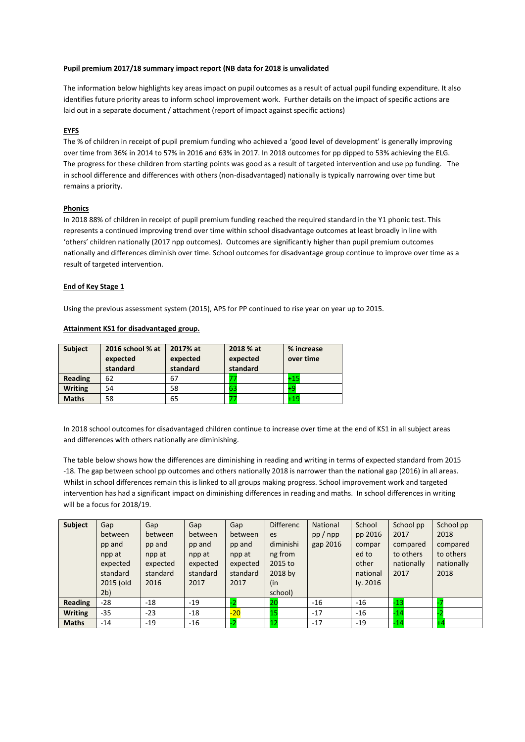### **Pupil premium 2017/18 summary impact report (NB data for 2018 is unvalidated**

The information below highlights key areas impact on pupil outcomes as a result of actual pupil funding expenditure. It also identifies future priority areas to inform school improvement work. Further details on the impact of specific actions are laid out in a separate document / attachment (report of impact against specific actions)

## **EYFS**

The % of children in receipt of pupil premium funding who achieved a 'good level of development' is generally improving over time from 36% in 2014 to 57% in 2016 and 63% in 2017. In 2018 outcomes for pp dipped to 53% achieving the ELG. The progress for these children from starting points was good as a result of targeted intervention and use pp funding. The in school difference and differences with others (non-disadvantaged) nationally is typically narrowing over time but remains a priority.

### **Phonics**

In 2018 88% of children in receipt of pupil premium funding reached the required standard in the Y1 phonic test. This represents a continued improving trend over time within school disadvantage outcomes at least broadly in line with 'others' children nationally (2017 npp outcomes). Outcomes are significantly higher than pupil premium outcomes nationally and differences diminish over time. School outcomes for disadvantage group continue to improve over time as a result of targeted intervention.

### **End of Key Stage 1**

Using the previous assessment system (2015), APS for PP continued to rise year on year up to 2015.

### **Attainment KS1 for disadvantaged group.**

| <b>Subject</b> | 2016 school % at<br>expected<br>standard | 2017% at<br>expected<br>standard | 2018 % at<br>expected<br>standard | % increase<br>over time |
|----------------|------------------------------------------|----------------------------------|-----------------------------------|-------------------------|
| Reading        | 62                                       | 67                               |                                   | $+15$                   |
| <b>Writing</b> | 54                                       | 58                               | 63                                | ÷c                      |
| <b>Maths</b>   | 58                                       | 65                               |                                   | $+19$                   |

In 2018 school outcomes for disadvantaged children continue to increase over time at the end of KS1 in all subject areas and differences with others nationally are diminishing.

The table below shows how the differences are diminishing in reading and writing in terms of expected standard from 2015 -18. The gap between school pp outcomes and others nationally 2018 is narrower than the national gap (2016) in all areas. Whilst in school differences remain this is linked to all groups making progress. School improvement work and targeted intervention has had a significant impact on diminishing differences in reading and maths. In school differences in writing will be a focus for 2018/19.

| <b>Subject</b> | Gap       | Gap      | Gap      | Gap          | <b>Differenc</b> | National | School   | School pp  | School pp  |
|----------------|-----------|----------|----------|--------------|------------------|----------|----------|------------|------------|
|                | between   | between  | between  | between      | es               | pp/npp   | pp 2016  | 2017       | 2018       |
|                | pp and    | pp and   | pp and   | pp and       | diminishi        | gap 2016 | compar   | compared   | compared   |
|                | npp at    | npp at   | npp at   | npp at       | ng from          |          | ed to    | to others  | to others  |
|                | expected  | expected | expected | expected     | 2015 to          |          | other    | nationally | nationally |
|                | standard  | standard | standard | standard     | 2018 by          |          | national | 2017       | 2018       |
|                | 2015 (old | 2016     | 2017     | 2017         | (in              |          | ly. 2016 |            |            |
|                | 2b)       |          |          |              | school)          |          |          |            |            |
| Reading        | $-28$     | $-18$    | $-19$    |              | 20               | $-16$    | $-16$    | -13        |            |
| <b>Writing</b> | $-35$     | $-23$    | -18      | $-20$        | <b>15</b>        | $-17$    | $-16$    | $-14$      |            |
| <b>Maths</b>   | $-14$     | $-19$    | $-16$    | $\mathbf{D}$ | 12               | $-17$    | $-19$    | -14        |            |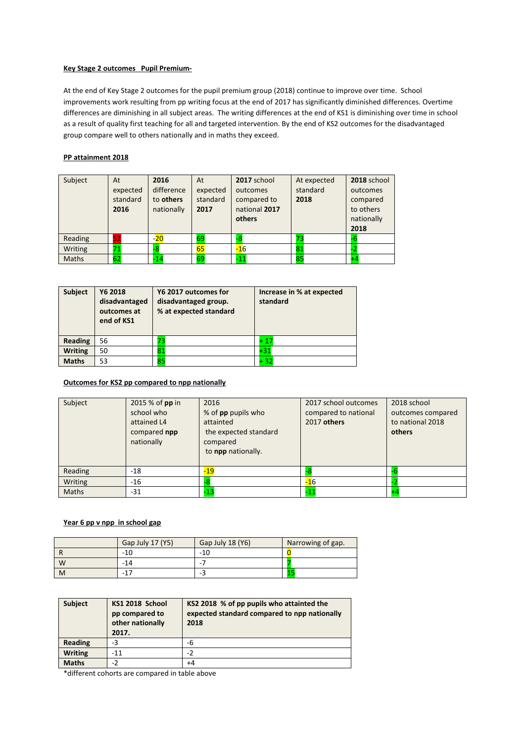## **Key Stage 2 outcomes Pupil Premium-**

At the end of Key Stage 2 outcomes for the pupil premium group (2018) continue to improve over time. School improvements work resulting from pp writing focus at the end of 2017 has significantly diminished differences. Overtime differences are diminishing in all subject areas. The writing differences at the end of KS1 is diminishing over time in school as a result of quality first teaching for all and targeted intervention. By the end of KS2 outcomes for the disadvantaged group compare well to others nationally and in maths they exceed.

## **PP attainment 2018**

| Subject | At<br>expected<br>standard<br>2016 | 2016<br>difference<br>to others<br>nationally | At<br>expected<br>standard<br>2017 | 2017 school<br>outcomes<br>compared to<br>national 2017<br>others | At expected<br>standard<br>2018 | 2018 school<br>outcomes<br>compared<br>to others<br>nationally<br>2018 |
|---------|------------------------------------|-----------------------------------------------|------------------------------------|-------------------------------------------------------------------|---------------------------------|------------------------------------------------------------------------|
| Reading | 52                                 | $-20$                                         | 69                                 | -8                                                                | 73                              |                                                                        |
| Writing | 71                                 |                                               | 65                                 | $-16$                                                             | 81                              |                                                                        |
| Maths   | 62                                 | -14                                           | 69                                 | $-11$                                                             | 85                              |                                                                        |

| <b>Subject</b> | Y6 2018<br>disadvantaged<br>outcomes at<br>end of KS1 | Y6 2017 outcomes for<br>disadvantaged group.<br>% at expected standard | Increase in % at expected<br>standard |  |
|----------------|-------------------------------------------------------|------------------------------------------------------------------------|---------------------------------------|--|
| <b>Reading</b> | 56                                                    |                                                                        | $+17$                                 |  |
| <b>Writing</b> | 50                                                    | 81                                                                     | $+31$                                 |  |
| <b>Maths</b>   | 53                                                    | 85                                                                     | $+32$                                 |  |

## **Outcomes for KS2 pp compared to npp nationally**

| Subject | 2015 % of pp in<br>school who<br>attained L4<br>compared npp<br>nationally | 2016<br>% of pp pupils who<br>attainted<br>the expected standard<br>compared<br>to npp nationally. | 2017 school outcomes<br>compared to national<br>2017 others | 2018 school<br>outcomes compared<br>to national 2018<br>others |
|---------|----------------------------------------------------------------------------|----------------------------------------------------------------------------------------------------|-------------------------------------------------------------|----------------------------------------------------------------|
| Reading | -18                                                                        | $-19$                                                                                              |                                                             |                                                                |
| Writing | -16                                                                        |                                                                                                    | $-16$                                                       |                                                                |
| Maths   | -31                                                                        | -13                                                                                                | $-11$                                                       |                                                                |

# **Year 6 pp v npp in school gap**

|   | Gap July 17 (Y5) | Gap July 18 (Y6) | Narrowing of gap. |
|---|------------------|------------------|-------------------|
|   | $-10$            | $-10$            |                   |
| W | -14              | -                |                   |
| M |                  | -3               |                   |

| <b>Subject</b> | KS1 2018 School<br>pp compared to<br>other nationally<br>2017. | KS2 2018 % of pp pupils who attainted the<br>expected standard compared to npp nationally<br>2018 |
|----------------|----------------------------------------------------------------|---------------------------------------------------------------------------------------------------|
| <b>Reading</b> | -3                                                             | -6                                                                                                |
| <b>Writing</b> | $-11$                                                          | $-2$                                                                                              |
| <b>Maths</b>   | -2                                                             | +4                                                                                                |

\*different cohorts are compared in table above